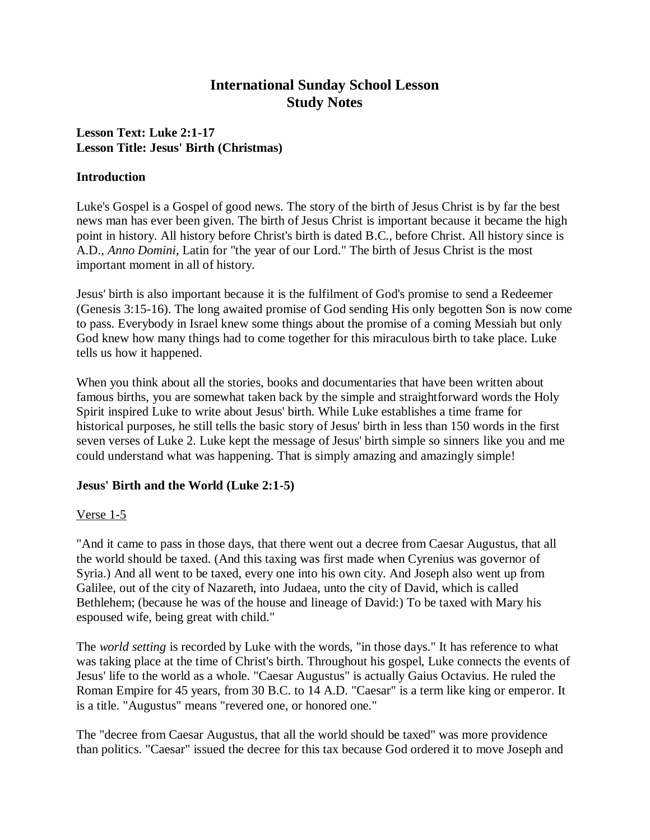# **International Sunday School Lesson Study Notes**

# **Lesson Text: Luke 2:1-17 Lesson Title: Jesus' Birth (Christmas)**

#### **Introduction**

Luke's Gospel is a Gospel of good news. The story of the birth of Jesus Christ is by far the best news man has ever been given. The birth of Jesus Christ is important because it became the high point in history. All history before Christ's birth is dated B.C., before Christ. All history since is A.D., *Anno Domini*, Latin for "the year of our Lord." The birth of Jesus Christ is the most important moment in all of history.

Jesus' birth is also important because it is the fulfilment of God's promise to send a Redeemer (Genesis 3:15-16). The long awaited promise of God sending His only begotten Son is now come to pass. Everybody in Israel knew some things about the promise of a coming Messiah but only God knew how many things had to come together for this miraculous birth to take place. Luke tells us how it happened.

When you think about all the stories, books and documentaries that have been written about famous births, you are somewhat taken back by the simple and straightforward words the Holy Spirit inspired Luke to write about Jesus' birth. While Luke establishes a time frame for historical purposes, he still tells the basic story of Jesus' birth in less than 150 words in the first seven verses of Luke 2. Luke kept the message of Jesus' birth simple so sinners like you and me could understand what was happening. That is simply amazing and amazingly simple!

## **Jesus' Birth and the World (Luke 2:1-5)**

## Verse 1-5

"And it came to pass in those days, that there went out a decree from Caesar Augustus, that all the world should be taxed. (And this taxing was first made when Cyrenius was governor of Syria.) And all went to be taxed, every one into his own city. And Joseph also went up from Galilee, out of the city of Nazareth, into Judaea, unto the city of David, which is called Bethlehem; (because he was of the house and lineage of David:) To be taxed with Mary his espoused wife, being great with child."

The *world setting* is recorded by Luke with the words, "in those days." It has reference to what was taking place at the time of Christ's birth. Throughout his gospel, Luke connects the events of Jesus' life to the world as a whole. "Caesar Augustus" is actually Gaius Octavius. He ruled the Roman Empire for 45 years, from 30 B.C. to 14 A.D. "Caesar" is a term like king or emperor. It is a title. "Augustus" means "revered one, or honored one."

The "decree from Caesar Augustus, that all the world should be taxed" was more providence than politics. "Caesar" issued the decree for this tax because God ordered it to move Joseph and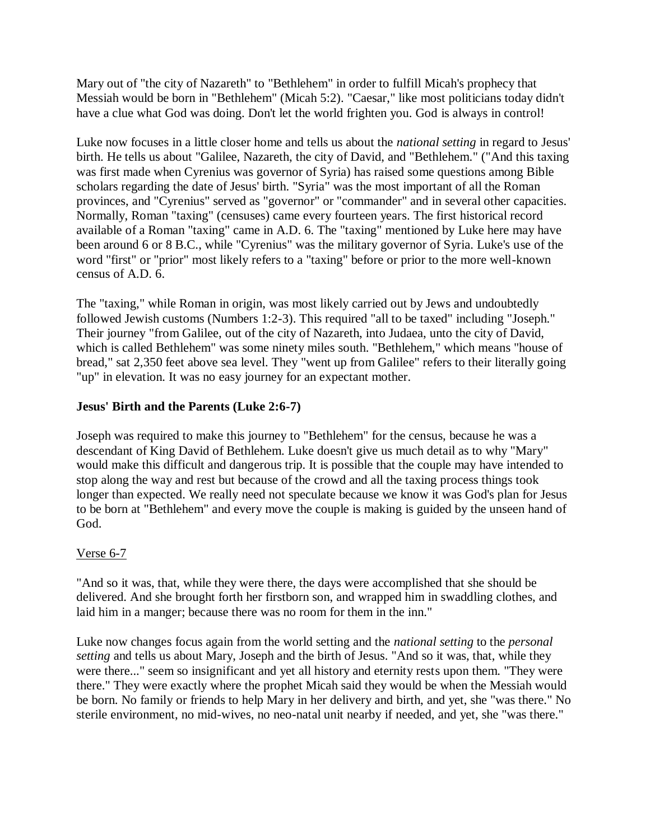Mary out of "the city of Nazareth" to "Bethlehem" in order to fulfill Micah's prophecy that Messiah would be born in "Bethlehem" (Micah 5:2). "Caesar," like most politicians today didn't have a clue what God was doing. Don't let the world frighten you. God is always in control!

Luke now focuses in a little closer home and tells us about the *national setting* in regard to Jesus' birth. He tells us about "Galilee, Nazareth, the city of David, and "Bethlehem." ("And this taxing was first made when Cyrenius was governor of Syria) has raised some questions among Bible scholars regarding the date of Jesus' birth. "Syria" was the most important of all the Roman provinces, and "Cyrenius" served as "governor" or "commander" and in several other capacities. Normally, Roman "taxing" (censuses) came every fourteen years. The first historical record available of a Roman "taxing" came in A.D. 6. The "taxing" mentioned by Luke here may have been around 6 or 8 B.C., while "Cyrenius" was the military governor of Syria. Luke's use of the word "first" or "prior" most likely refers to a "taxing" before or prior to the more well-known census of A.D. 6.

The "taxing," while Roman in origin, was most likely carried out by Jews and undoubtedly followed Jewish customs (Numbers 1:2-3). This required "all to be taxed" including "Joseph." Their journey "from Galilee, out of the city of Nazareth, into Judaea, unto the city of David, which is called Bethlehem" was some ninety miles south. "Bethlehem," which means "house of bread," sat 2,350 feet above sea level. They "went up from Galilee" refers to their literally going "up" in elevation. It was no easy journey for an expectant mother.

# **Jesus' Birth and the Parents (Luke 2:6-7)**

Joseph was required to make this journey to "Bethlehem" for the census, because he was a descendant of King David of Bethlehem. Luke doesn't give us much detail as to why "Mary" would make this difficult and dangerous trip. It is possible that the couple may have intended to stop along the way and rest but because of the crowd and all the taxing process things took longer than expected. We really need not speculate because we know it was God's plan for Jesus to be born at "Bethlehem" and every move the couple is making is guided by the unseen hand of God.

## Verse 6-7

"And so it was, that, while they were there, the days were accomplished that she should be delivered. And she brought forth her firstborn son, and wrapped him in swaddling clothes, and laid him in a manger; because there was no room for them in the inn."

Luke now changes focus again from the world setting and the *national setting* to the *personal setting* and tells us about Mary, Joseph and the birth of Jesus. "And so it was, that, while they were there..." seem so insignificant and yet all history and eternity rests upon them. "They were there." They were exactly where the prophet Micah said they would be when the Messiah would be born. No family or friends to help Mary in her delivery and birth, and yet, she "was there." No sterile environment, no mid-wives, no neo-natal unit nearby if needed, and yet, she "was there."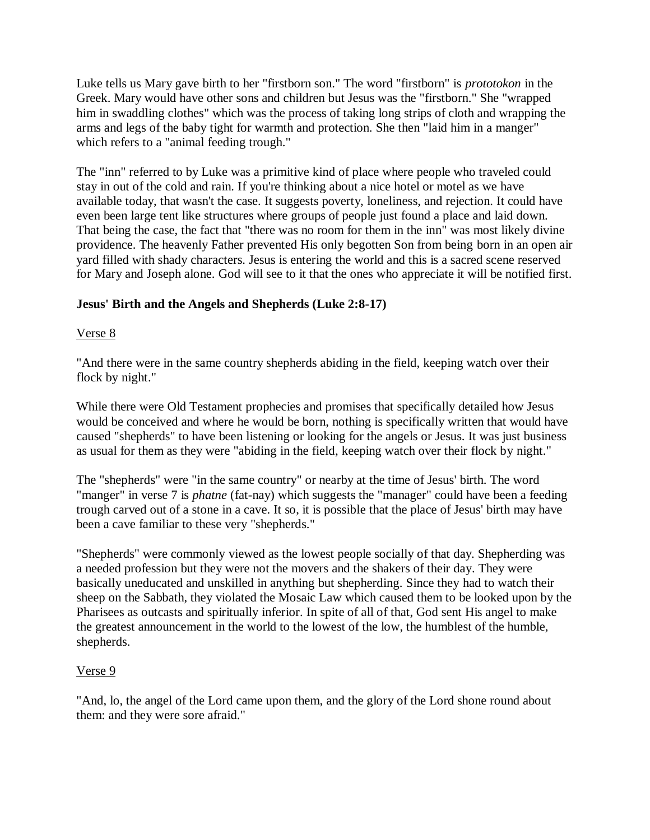Luke tells us Mary gave birth to her "firstborn son." The word "firstborn" is *prototokon* in the Greek. Mary would have other sons and children but Jesus was the "firstborn." She "wrapped him in swaddling clothes" which was the process of taking long strips of cloth and wrapping the arms and legs of the baby tight for warmth and protection. She then "laid him in a manger" which refers to a "animal feeding trough."

The "inn" referred to by Luke was a primitive kind of place where people who traveled could stay in out of the cold and rain. If you're thinking about a nice hotel or motel as we have available today, that wasn't the case. It suggests poverty, loneliness, and rejection. It could have even been large tent like structures where groups of people just found a place and laid down. That being the case, the fact that "there was no room for them in the inn" was most likely divine providence. The heavenly Father prevented His only begotten Son from being born in an open air yard filled with shady characters. Jesus is entering the world and this is a sacred scene reserved for Mary and Joseph alone. God will see to it that the ones who appreciate it will be notified first.

# **Jesus' Birth and the Angels and Shepherds (Luke 2:8-17)**

## Verse 8

"And there were in the same country shepherds abiding in the field, keeping watch over their flock by night."

While there were Old Testament prophecies and promises that specifically detailed how Jesus would be conceived and where he would be born, nothing is specifically written that would have caused "shepherds" to have been listening or looking for the angels or Jesus. It was just business as usual for them as they were "abiding in the field, keeping watch over their flock by night."

The "shepherds" were "in the same country" or nearby at the time of Jesus' birth. The word "manger" in verse 7 is *phatne* (fat-nay) which suggests the "manager" could have been a feeding trough carved out of a stone in a cave. It so, it is possible that the place of Jesus' birth may have been a cave familiar to these very "shepherds."

"Shepherds" were commonly viewed as the lowest people socially of that day. Shepherding was a needed profession but they were not the movers and the shakers of their day. They were basically uneducated and unskilled in anything but shepherding. Since they had to watch their sheep on the Sabbath, they violated the Mosaic Law which caused them to be looked upon by the Pharisees as outcasts and spiritually inferior. In spite of all of that, God sent His angel to make the greatest announcement in the world to the lowest of the low, the humblest of the humble, shepherds.

## Verse 9

"And, lo, the angel of the Lord came upon them, and the glory of the Lord shone round about them: and they were sore afraid."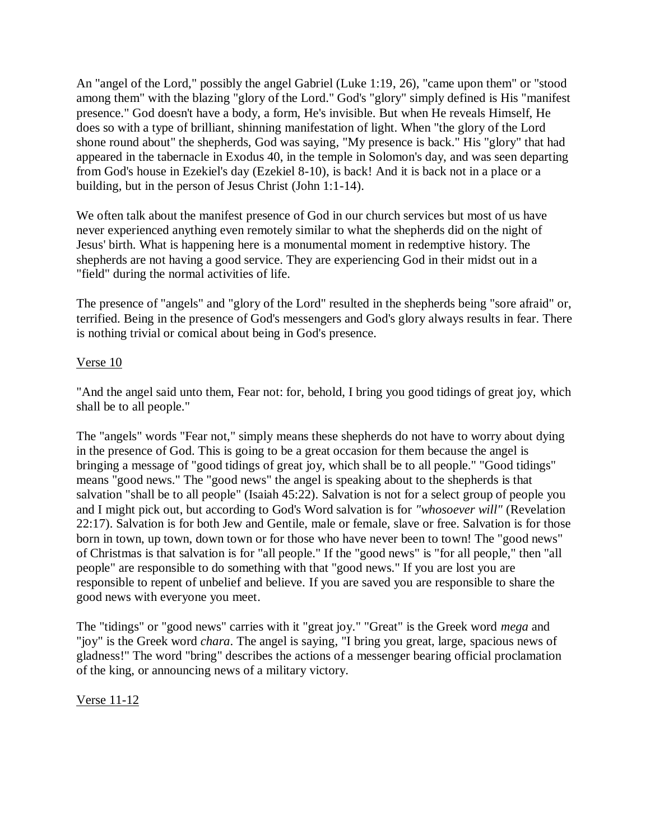An "angel of the Lord," possibly the angel Gabriel (Luke 1:19, 26), "came upon them" or "stood among them" with the blazing "glory of the Lord." God's "glory" simply defined is His "manifest presence." God doesn't have a body, a form, He's invisible. But when He reveals Himself, He does so with a type of brilliant, shinning manifestation of light. When "the glory of the Lord shone round about" the shepherds, God was saying, "My presence is back." His "glory" that had appeared in the tabernacle in Exodus 40, in the temple in Solomon's day, and was seen departing from God's house in Ezekiel's day (Ezekiel 8-10), is back! And it is back not in a place or a building, but in the person of Jesus Christ (John 1:1-14).

We often talk about the manifest presence of God in our church services but most of us have never experienced anything even remotely similar to what the shepherds did on the night of Jesus' birth. What is happening here is a monumental moment in redemptive history. The shepherds are not having a good service. They are experiencing God in their midst out in a "field" during the normal activities of life.

The presence of "angels" and "glory of the Lord" resulted in the shepherds being "sore afraid" or, terrified. Being in the presence of God's messengers and God's glory always results in fear. There is nothing trivial or comical about being in God's presence.

#### Verse 10

"And the angel said unto them, Fear not: for, behold, I bring you good tidings of great joy, which shall be to all people."

The "angels" words "Fear not," simply means these shepherds do not have to worry about dying in the presence of God. This is going to be a great occasion for them because the angel is bringing a message of "good tidings of great joy, which shall be to all people." "Good tidings" means "good news." The "good news" the angel is speaking about to the shepherds is that salvation "shall be to all people" (Isaiah 45:22). Salvation is not for a select group of people you and I might pick out, but according to God's Word salvation is for *"whosoever will"* (Revelation 22:17). Salvation is for both Jew and Gentile, male or female, slave or free. Salvation is for those born in town, up town, down town or for those who have never been to town! The "good news" of Christmas is that salvation is for "all people." If the "good news" is "for all people," then "all people" are responsible to do something with that "good news." If you are lost you are responsible to repent of unbelief and believe. If you are saved you are responsible to share the good news with everyone you meet.

The "tidings" or "good news" carries with it "great joy." "Great" is the Greek word *mega* and "joy" is the Greek word *chara*. The angel is saying, "I bring you great, large, spacious news of gladness!" The word "bring" describes the actions of a messenger bearing official proclamation of the king, or announcing news of a military victory.

## Verse 11-12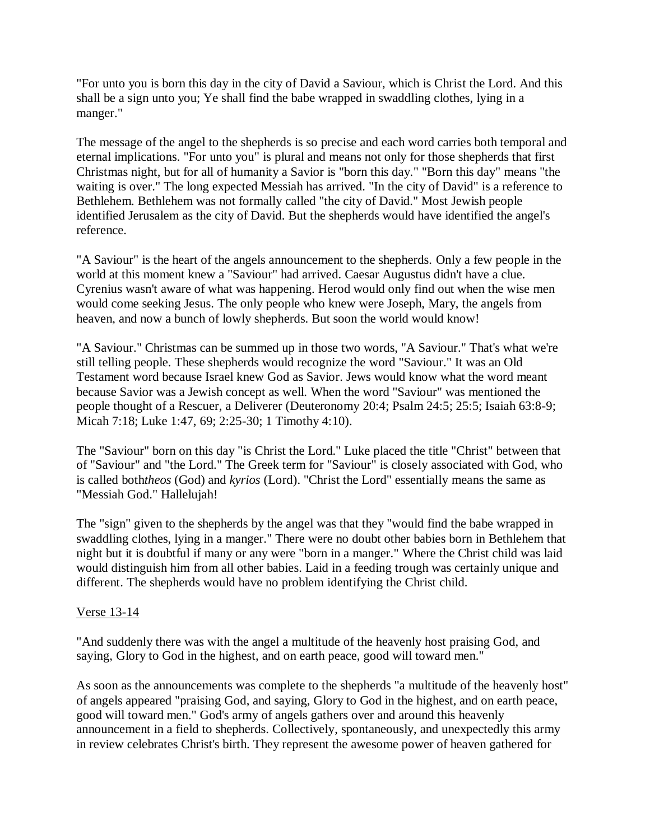"For unto you is born this day in the city of David a Saviour, which is Christ the Lord. And this shall be a sign unto you; Ye shall find the babe wrapped in swaddling clothes, lying in a manger."

The message of the angel to the shepherds is so precise and each word carries both temporal and eternal implications. "For unto you" is plural and means not only for those shepherds that first Christmas night, but for all of humanity a Savior is "born this day." "Born this day" means "the waiting is over." The long expected Messiah has arrived. "In the city of David" is a reference to Bethlehem. Bethlehem was not formally called "the city of David." Most Jewish people identified Jerusalem as the city of David. But the shepherds would have identified the angel's reference.

"A Saviour" is the heart of the angels announcement to the shepherds. Only a few people in the world at this moment knew a "Saviour" had arrived. Caesar Augustus didn't have a clue. Cyrenius wasn't aware of what was happening. Herod would only find out when the wise men would come seeking Jesus. The only people who knew were Joseph, Mary, the angels from heaven, and now a bunch of lowly shepherds. But soon the world would know!

"A Saviour." Christmas can be summed up in those two words, "A Saviour." That's what we're still telling people. These shepherds would recognize the word "Saviour." It was an Old Testament word because Israel knew God as Savior. Jews would know what the word meant because Savior was a Jewish concept as well. When the word "Saviour" was mentioned the people thought of a Rescuer, a Deliverer (Deuteronomy 20:4; Psalm 24:5; 25:5; Isaiah 63:8-9; Micah 7:18; Luke 1:47, 69; 2:25-30; 1 Timothy 4:10).

The "Saviour" born on this day "is Christ the Lord." Luke placed the title "Christ" between that of "Saviour" and "the Lord." The Greek term for "Saviour" is closely associated with God, who is called both*theos* (God) and *kyrios* (Lord). "Christ the Lord" essentially means the same as "Messiah God." Hallelujah!

The "sign" given to the shepherds by the angel was that they "would find the babe wrapped in swaddling clothes, lying in a manger." There were no doubt other babies born in Bethlehem that night but it is doubtful if many or any were "born in a manger." Where the Christ child was laid would distinguish him from all other babies. Laid in a feeding trough was certainly unique and different. The shepherds would have no problem identifying the Christ child.

## Verse 13-14

"And suddenly there was with the angel a multitude of the heavenly host praising God, and saying, Glory to God in the highest, and on earth peace, good will toward men."

As soon as the announcements was complete to the shepherds "a multitude of the heavenly host" of angels appeared "praising God, and saying, Glory to God in the highest, and on earth peace, good will toward men." God's army of angels gathers over and around this heavenly announcement in a field to shepherds. Collectively, spontaneously, and unexpectedly this army in review celebrates Christ's birth. They represent the awesome power of heaven gathered for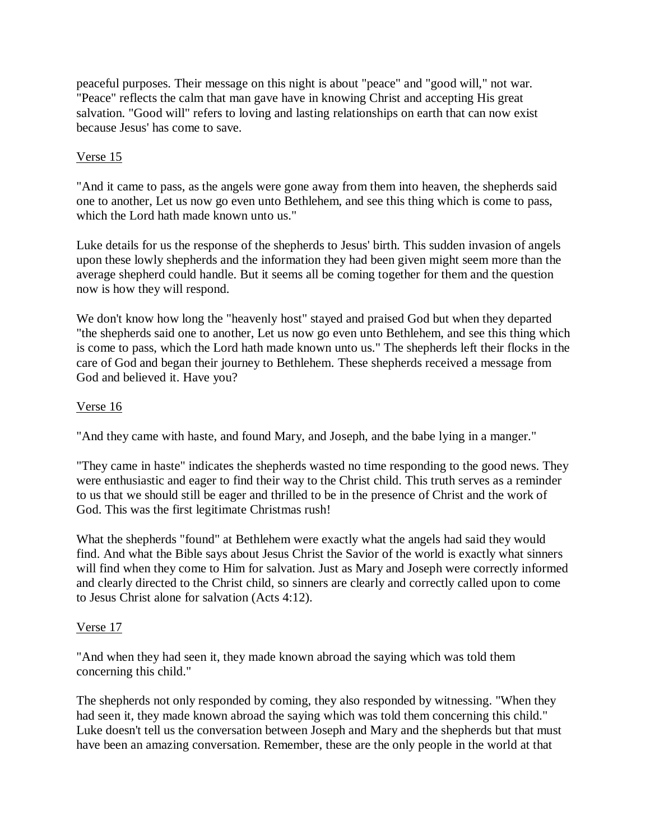peaceful purposes. Their message on this night is about "peace" and "good will," not war. "Peace" reflects the calm that man gave have in knowing Christ and accepting His great salvation. "Good will" refers to loving and lasting relationships on earth that can now exist because Jesus' has come to save.

## Verse 15

"And it came to pass, as the angels were gone away from them into heaven, the shepherds said one to another, Let us now go even unto Bethlehem, and see this thing which is come to pass, which the Lord hath made known unto us."

Luke details for us the response of the shepherds to Jesus' birth. This sudden invasion of angels upon these lowly shepherds and the information they had been given might seem more than the average shepherd could handle. But it seems all be coming together for them and the question now is how they will respond.

We don't know how long the "heavenly host" stayed and praised God but when they departed "the shepherds said one to another, Let us now go even unto Bethlehem, and see this thing which is come to pass, which the Lord hath made known unto us." The shepherds left their flocks in the care of God and began their journey to Bethlehem. These shepherds received a message from God and believed it. Have you?

#### Verse 16

"And they came with haste, and found Mary, and Joseph, and the babe lying in a manger."

"They came in haste" indicates the shepherds wasted no time responding to the good news. They were enthusiastic and eager to find their way to the Christ child. This truth serves as a reminder to us that we should still be eager and thrilled to be in the presence of Christ and the work of God. This was the first legitimate Christmas rush!

What the shepherds "found" at Bethlehem were exactly what the angels had said they would find. And what the Bible says about Jesus Christ the Savior of the world is exactly what sinners will find when they come to Him for salvation. Just as Mary and Joseph were correctly informed and clearly directed to the Christ child, so sinners are clearly and correctly called upon to come to Jesus Christ alone for salvation (Acts 4:12).

## Verse 17

"And when they had seen it, they made known abroad the saying which was told them concerning this child."

The shepherds not only responded by coming, they also responded by witnessing. "When they had seen it, they made known abroad the saying which was told them concerning this child." Luke doesn't tell us the conversation between Joseph and Mary and the shepherds but that must have been an amazing conversation. Remember, these are the only people in the world at that